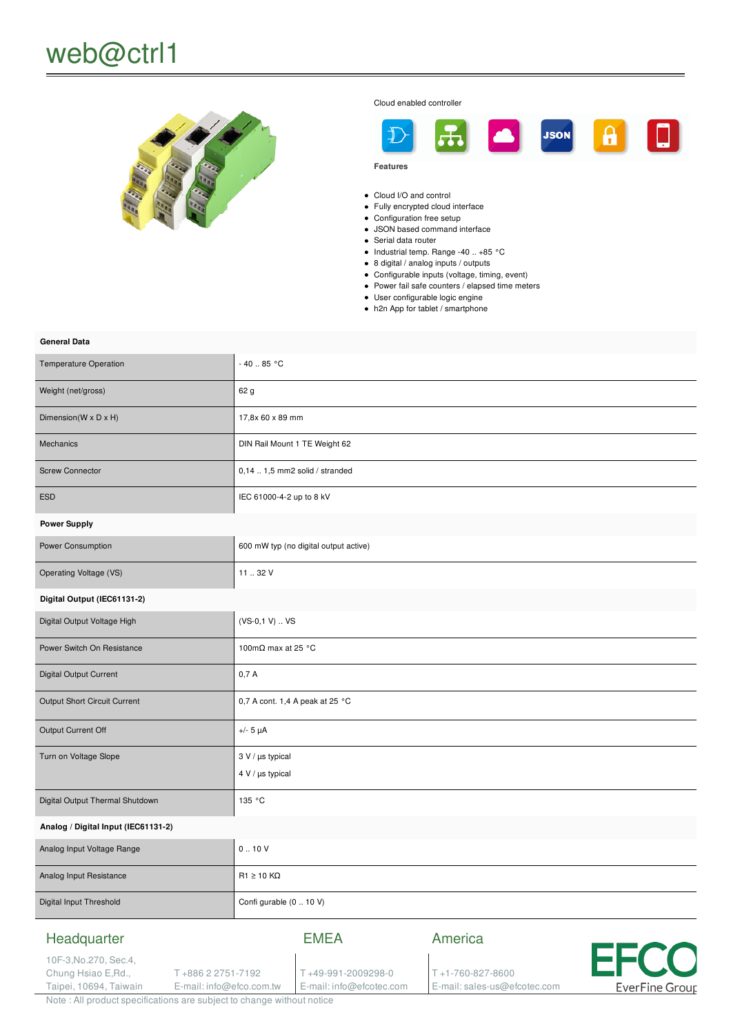

Cloud enabled controller



**Features**

- Cloud I/O and control
- Fully encrypted cloud interface
- Configuration free setup
- JSON based command interface
- Serial data router
- $\bullet$  Industrial temp. Range -40 .. +85 °C
- 8 digital / analog inputs / outputs
- Configurable inputs (voltage, timing, event)
- Power fail safe counters / elapsed time meters
- User configurable logic engine
- h2n App for tablet / smartphone

## **General Data**

| <b>Temperature Operation</b>                                                       | - 40  85 °C                           |                                   |                                       |      |
|------------------------------------------------------------------------------------|---------------------------------------|-----------------------------------|---------------------------------------|------|
| Weight (net/gross)                                                                 | 62 g                                  |                                   |                                       |      |
| Dimension(W x D x H)                                                               | 17,8x 60 x 89 mm                      |                                   |                                       |      |
| Mechanics                                                                          | DIN Rail Mount 1 TE Weight 62         |                                   |                                       |      |
| <b>Screw Connector</b>                                                             | $0,141,5$ mm2 solid / stranded        |                                   |                                       |      |
| <b>ESD</b>                                                                         | IEC 61000-4-2 up to 8 kV              |                                   |                                       |      |
| <b>Power Supply</b>                                                                |                                       |                                   |                                       |      |
| Power Consumption                                                                  | 600 mW typ (no digital output active) |                                   |                                       |      |
| Operating Voltage (VS)                                                             | 11  32 V                              |                                   |                                       |      |
| Digital Output (IEC61131-2)                                                        |                                       |                                   |                                       |      |
| Digital Output Voltage High                                                        | $(VS-0,1 V)  VS$                      |                                   |                                       |      |
| Power Switch On Resistance                                                         | 100m $\Omega$ max at 25 °C            |                                   |                                       |      |
| Digital Output Current                                                             | 0,7A                                  |                                   |                                       |      |
| Output Short Circuit Current                                                       | 0,7 A cont. 1,4 A peak at 25 °C       |                                   |                                       |      |
| Output Current Off                                                                 | $+/- 5 \mu A$                         |                                   |                                       |      |
| Turn on Voltage Slope                                                              | 3 V / µs typical                      |                                   |                                       |      |
|                                                                                    | $4 V / \mu s$ typical                 |                                   |                                       |      |
| Digital Output Thermal Shutdown                                                    | 135 °C                                |                                   |                                       |      |
| Analog / Digital Input (IEC61131-2)                                                |                                       |                                   |                                       |      |
| Analog Input Voltage Range                                                         | 0.10V                                 |                                   |                                       |      |
| Analog Input Resistance                                                            | $R1 \ge 10$ KQ                        |                                   |                                       |      |
| Digital Input Threshold                                                            | Confi gurable (0  10 V)               |                                   |                                       |      |
| Headquarter<br>10F-3, No. 270, Sec. 4,<br>Chung Hsiao E, Rd.,<br>T+886 2 2751-7192 |                                       | <b>EMEA</b><br>T+49-991-2009298-0 | America<br>$T + 1 - 760 - 827 - 8600$ | EFCO |

E-mail: info@efcotec.com

E-mail: sales-us@efcotec.com

**EverFine Group** 

Note : All product specifications are subject to change without notice

E-mail: info@efco.com.tw

Taipei, 10694, Taiwain